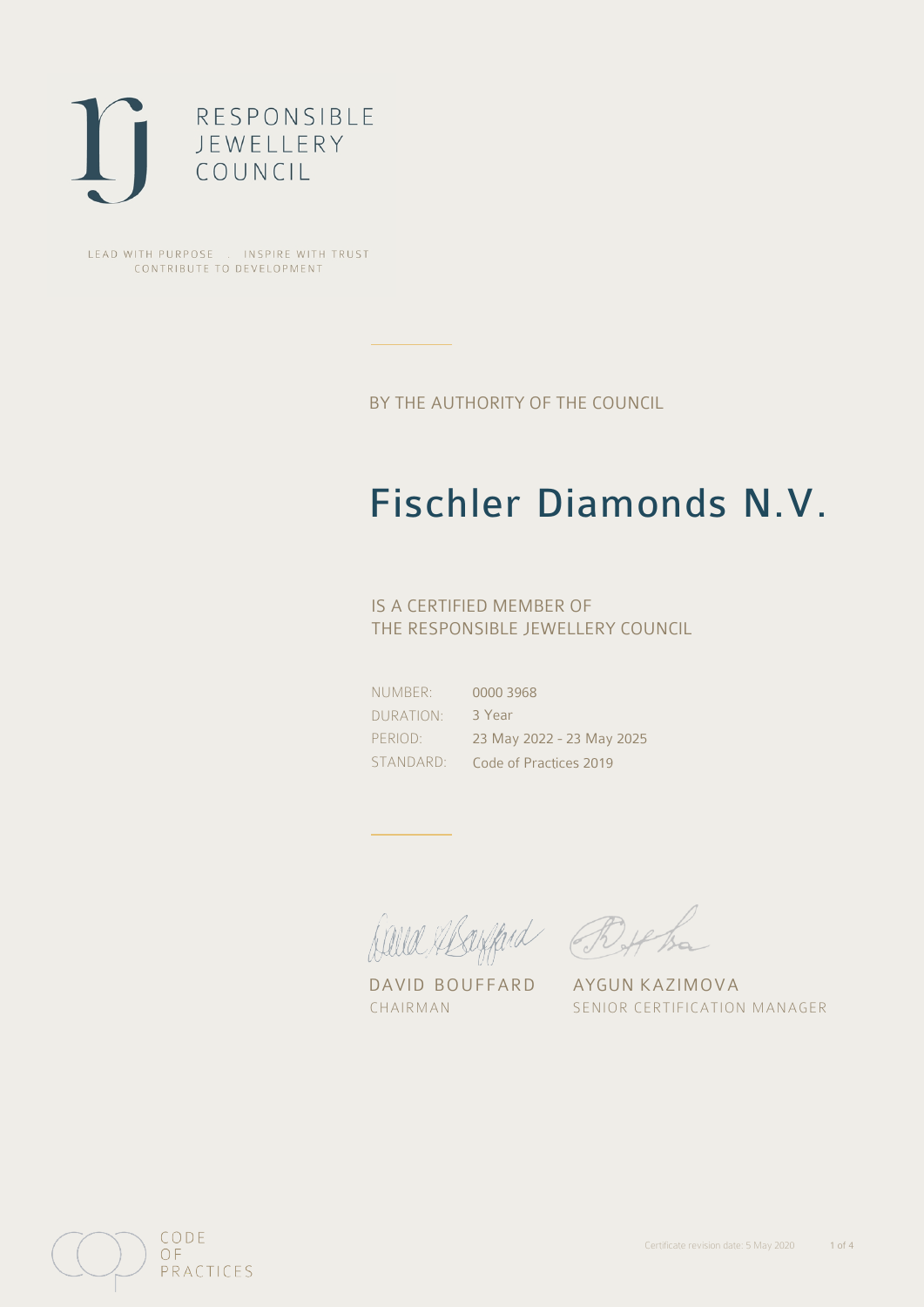

LEAD WITH PURPOSE . INSPIRE WITH TRUST CONTRIBUTE TO DEVELOPMENT

BY THE AUTHORITY OF THE COUNCIL

## Fischler Diamonds N.V.

### IS A CERTIFIED MEMBER OF THE RESPONSIBLE JEWELLERY COUNCIL

NUMBER: DURATION: PERIOD:

STANDARD: Code of Practices 2019 0000 3968 3 Year 23 May 2022 - 23 May 2025

David Mayfard Bythe

DAVID BOUFFARD AYGUN KAZIMOVA

CHAIRMAN SENIOR CERTIFICATION MANAGER

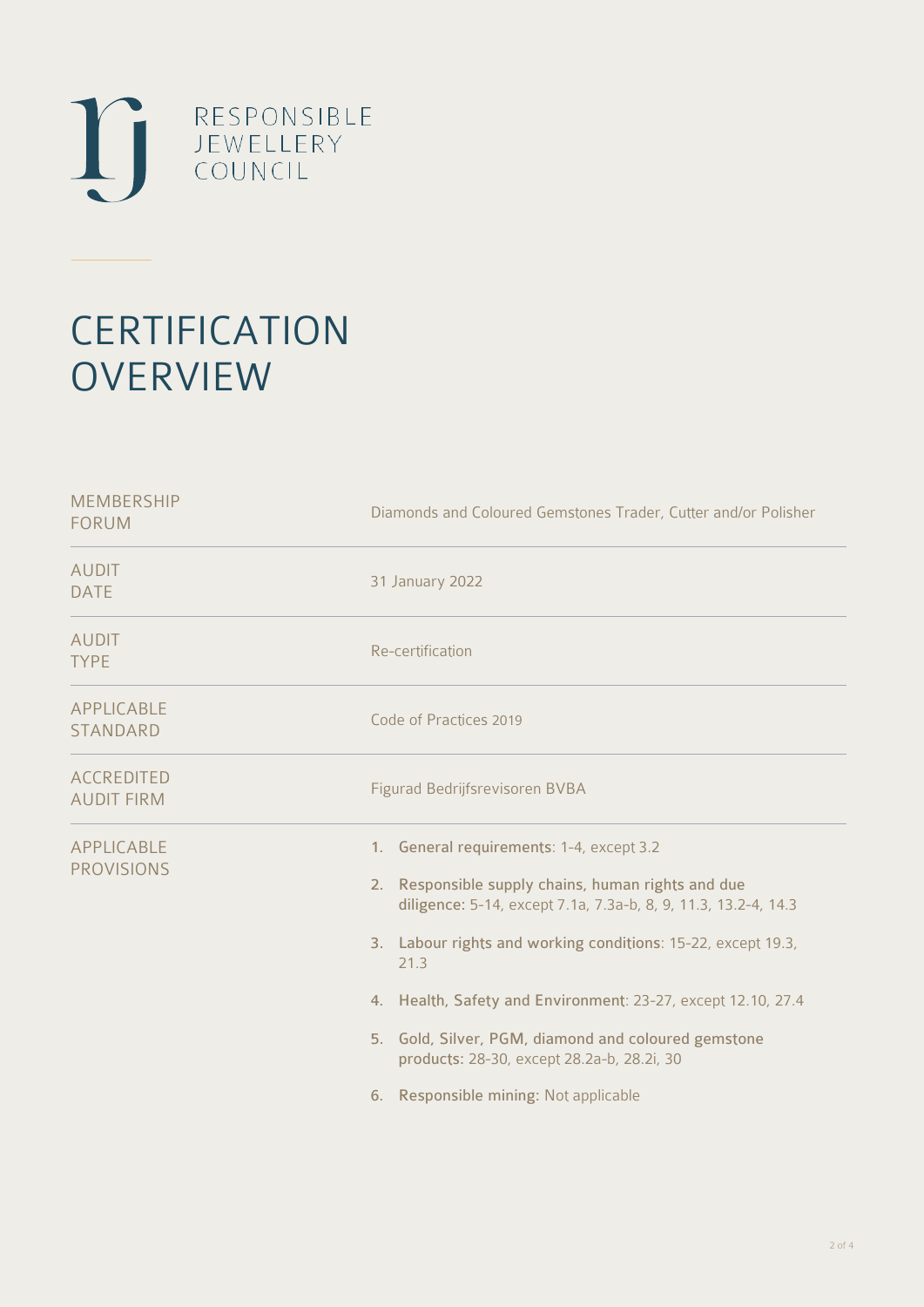

# **CERTIFICATION OVERVIEW**

| Diamonds and Coloured Gemstones Trader, Cutter and/or Polisher                                                                                                                                                                                                                                                                                                                                                                                                           |  |  |
|--------------------------------------------------------------------------------------------------------------------------------------------------------------------------------------------------------------------------------------------------------------------------------------------------------------------------------------------------------------------------------------------------------------------------------------------------------------------------|--|--|
| 31 January 2022                                                                                                                                                                                                                                                                                                                                                                                                                                                          |  |  |
| Re-certification                                                                                                                                                                                                                                                                                                                                                                                                                                                         |  |  |
| Code of Practices 2019                                                                                                                                                                                                                                                                                                                                                                                                                                                   |  |  |
| Figurad Bedrijfsrevisoren BVBA                                                                                                                                                                                                                                                                                                                                                                                                                                           |  |  |
| 1. General requirements: 1-4, except 3.2<br>Responsible supply chains, human rights and due<br>2 <sup>1</sup><br>diligence: 5-14, except 7.1a, 7.3a-b, 8, 9, 11.3, 13.2-4, 14.3<br>3. Labour rights and working conditions: 15-22, except 19.3,<br>21.3<br>4. Health, Safety and Environment: 23-27, except 12.10, 27.4<br>5. Gold, Silver, PGM, diamond and coloured gemstone<br>products: 28-30, except 28.2a-b, 28.2i, 30<br>Responsible mining: Not applicable<br>6. |  |  |
|                                                                                                                                                                                                                                                                                                                                                                                                                                                                          |  |  |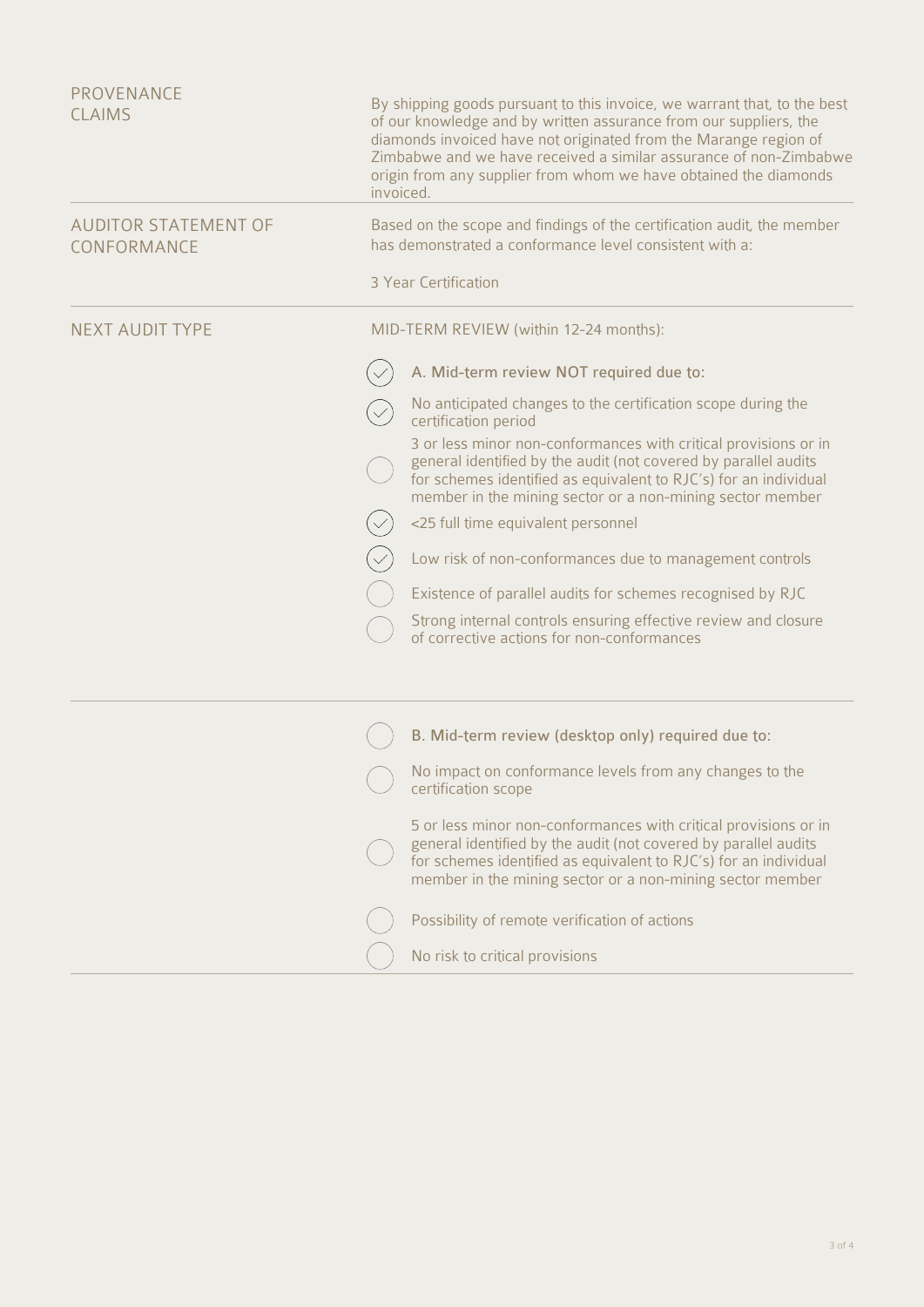| PROVENANCE<br><b>CLAIMS</b>                | By shipping goods pursuant to this invoice, we warrant that, to the best<br>of our knowledge and by written assurance from our suppliers, the<br>diamonds invoiced have not originated from the Marange region of<br>Zimbabwe and we have received a similar assurance of non-Zimbabwe<br>origin from any supplier from whom we have obtained the diamonds<br>invoiced. |                                                                                                                                                                                                                                                                     |  |
|--------------------------------------------|-------------------------------------------------------------------------------------------------------------------------------------------------------------------------------------------------------------------------------------------------------------------------------------------------------------------------------------------------------------------------|---------------------------------------------------------------------------------------------------------------------------------------------------------------------------------------------------------------------------------------------------------------------|--|
| <b>AUDITOR STATEMENT OF</b><br>CONFORMANCE | Based on the scope and findings of the certification audit, the member<br>has demonstrated a conformance level consistent with a:                                                                                                                                                                                                                                       |                                                                                                                                                                                                                                                                     |  |
|                                            |                                                                                                                                                                                                                                                                                                                                                                         | 3 Year Certification                                                                                                                                                                                                                                                |  |
| <b>NEXT AUDIT TYPE</b>                     | MID-TERM REVIEW (within 12-24 months):                                                                                                                                                                                                                                                                                                                                  |                                                                                                                                                                                                                                                                     |  |
|                                            |                                                                                                                                                                                                                                                                                                                                                                         | A. Mid-term review NOT required due to:                                                                                                                                                                                                                             |  |
|                                            |                                                                                                                                                                                                                                                                                                                                                                         | No anticipated changes to the certification scope during the<br>certification period                                                                                                                                                                                |  |
|                                            |                                                                                                                                                                                                                                                                                                                                                                         | 3 or less minor non-conformances with critical provisions or in<br>general identified by the audit (not covered by parallel audits<br>for schemes identified as equivalent to RJC's) for an individual<br>member in the mining sector or a non-mining sector member |  |
|                                            |                                                                                                                                                                                                                                                                                                                                                                         | <25 full time equivalent personnel                                                                                                                                                                                                                                  |  |
|                                            |                                                                                                                                                                                                                                                                                                                                                                         | Low risk of non-conformances due to management controls                                                                                                                                                                                                             |  |
|                                            |                                                                                                                                                                                                                                                                                                                                                                         | Existence of parallel audits for schemes recognised by RJC                                                                                                                                                                                                          |  |
|                                            |                                                                                                                                                                                                                                                                                                                                                                         | Strong internal controls ensuring effective review and closure<br>of corrective actions for non-conformances                                                                                                                                                        |  |
|                                            |                                                                                                                                                                                                                                                                                                                                                                         | B. Mid-term review (desktop only) required due to:                                                                                                                                                                                                                  |  |
|                                            |                                                                                                                                                                                                                                                                                                                                                                         | No impact on conformance levels from any changes to the<br>certification scope                                                                                                                                                                                      |  |
|                                            |                                                                                                                                                                                                                                                                                                                                                                         | 5 or less minor non-conformances with critical provisions or in<br>general identified by the audit (not covered by parallel audits<br>for schemes identified as equivalent to RJC's) for an individual<br>member in the mining sector or a non-mining sector member |  |
|                                            |                                                                                                                                                                                                                                                                                                                                                                         | Possibility of remote verification of actions                                                                                                                                                                                                                       |  |
|                                            |                                                                                                                                                                                                                                                                                                                                                                         | No risk to critical provisions                                                                                                                                                                                                                                      |  |